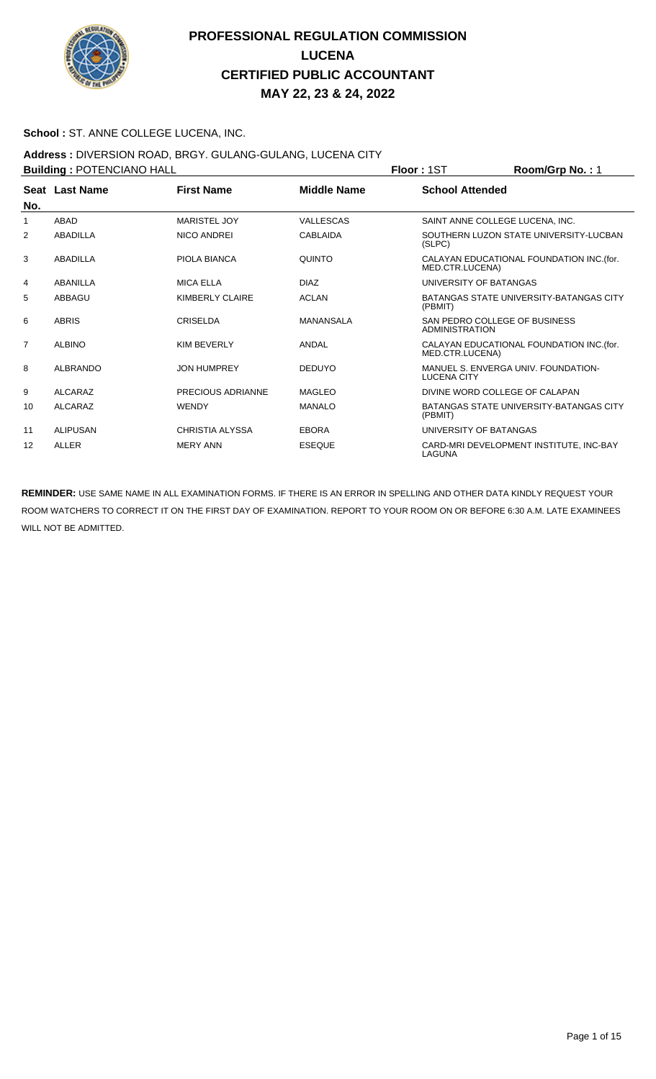

### **School :** ST. ANNE COLLEGE LUCENA, INC.

### **Address :** DIVERSION ROAD, BRGY. GULANG-GULANG, LUCENA CITY

| <b>Building: POTENCIANO HALL</b> |                 |                        |                    | Room/Grp No.: 1<br>Floor: 1ST                                |
|----------------------------------|-----------------|------------------------|--------------------|--------------------------------------------------------------|
| No.                              | Seat Last Name  | <b>First Name</b>      | <b>Middle Name</b> | <b>School Attended</b>                                       |
|                                  | <b>ABAD</b>     | <b>MARISTEL JOY</b>    | VALLESCAS          | SAINT ANNE COLLEGE LUCENA, INC.                              |
| 2                                | ABADILLA        | <b>NICO ANDREI</b>     | <b>CABLAIDA</b>    | SOUTHERN LUZON STATE UNIVERSITY-LUCBAN<br>(SLPC)             |
| 3                                | ABADILLA        | PIOLA BIANCA           | <b>QUINTO</b>      | CALAYAN EDUCATIONAL FOUNDATION INC. (for.<br>MED.CTR.LUCENA) |
| 4                                | ABANILLA        | <b>MICA ELLA</b>       | <b>DIAZ</b>        | UNIVERSITY OF BATANGAS                                       |
| 5                                | ABBAGU          | <b>KIMBERLY CLAIRE</b> | <b>ACLAN</b>       | BATANGAS STATE UNIVERSITY-BATANGAS CITY<br>(PBMIT)           |
| 6                                | <b>ABRIS</b>    | CRISELDA               | MANANSALA          | SAN PEDRO COLLEGE OF BUSINESS<br>ADMINISTRATION              |
| $\overline{7}$                   | <b>ALBINO</b>   | <b>KIM BEVERLY</b>     | ANDAL              | CALAYAN EDUCATIONAL FOUNDATION INC. (for.<br>MED.CTR.LUCENA) |
| 8                                | <b>ALBRANDO</b> | <b>JON HUMPREY</b>     | <b>DEDUYO</b>      | MANUEL S. ENVERGA UNIV. FOUNDATION-<br><b>LUCENA CITY</b>    |
| 9                                | <b>ALCARAZ</b>  | PRECIOUS ADRIANNE      | <b>MAGLEO</b>      | DIVINE WORD COLLEGE OF CALAPAN                               |
| 10                               | <b>ALCARAZ</b>  | <b>WENDY</b>           | <b>MANALO</b>      | BATANGAS STATE UNIVERSITY-BATANGAS CITY<br>(PBMIT)           |
| 11                               | <b>ALIPUSAN</b> | <b>CHRISTIA ALYSSA</b> | <b>EBORA</b>       | UNIVERSITY OF BATANGAS                                       |
| 12                               | <b>ALLER</b>    | <b>MERY ANN</b>        | <b>ESEQUE</b>      | CARD-MRI DEVELOPMENT INSTITUTE, INC-BAY<br>LAGUNA            |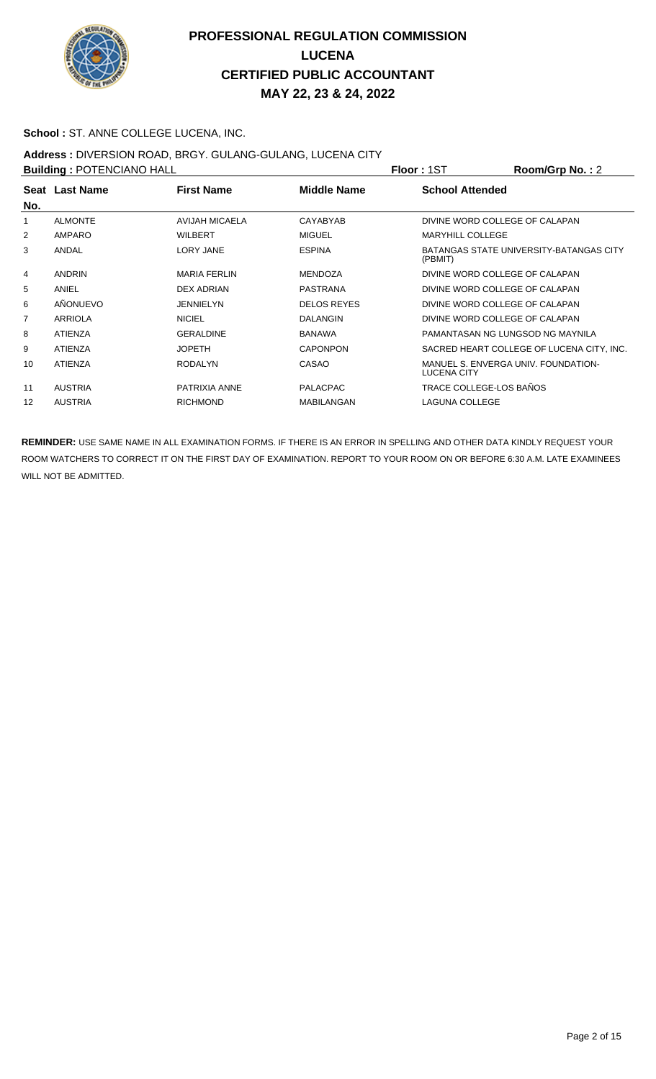

### **School :** ST. ANNE COLLEGE LUCENA, INC.

## **Address :** DIVERSION ROAD, BRGY. GULANG-GULANG, LUCENA CITY

| <b>Building: POTENCIANO HALL</b> |                |                     |                    | Floor: 1ST                     | Room/Grp No.: 2                           |
|----------------------------------|----------------|---------------------|--------------------|--------------------------------|-------------------------------------------|
| No.                              | Seat Last Name | <b>First Name</b>   | <b>Middle Name</b> | <b>School Attended</b>         |                                           |
|                                  | <b>ALMONTE</b> | AVIJAH MICAELA      | CAYABYAB           | DIVINE WORD COLLEGE OF CALAPAN |                                           |
| 2                                | <b>AMPARO</b>  | <b>WILBERT</b>      | <b>MIGUEL</b>      | <b>MARYHILL COLLEGE</b>        |                                           |
| 3                                | ANDAL          | <b>LORY JANE</b>    | <b>ESPINA</b>      | (PBMIT)                        | BATANGAS STATE UNIVERSITY-BATANGAS CITY   |
| 4                                | <b>ANDRIN</b>  | <b>MARIA FERLIN</b> | <b>MENDOZA</b>     | DIVINE WORD COLLEGE OF CALAPAN |                                           |
| 5                                | ANIEL          | <b>DEX ADRIAN</b>   | <b>PASTRANA</b>    | DIVINE WORD COLLEGE OF CALAPAN |                                           |
| 6                                | AÑONUEVO       | <b>JENNIELYN</b>    | <b>DELOS REYES</b> | DIVINE WORD COLLEGE OF CALAPAN |                                           |
| 7                                | <b>ARRIOLA</b> | <b>NICIEL</b>       | <b>DALANGIN</b>    | DIVINE WORD COLLEGE OF CALAPAN |                                           |
| 8                                | <b>ATIENZA</b> | <b>GERALDINE</b>    | <b>BANAWA</b>      |                                | PAMANTASAN NG LUNGSOD NG MAYNILA          |
| 9                                | <b>ATIENZA</b> | <b>JOPETH</b>       | <b>CAPONPON</b>    |                                | SACRED HEART COLLEGE OF LUCENA CITY, INC. |
| 10                               | <b>ATIENZA</b> | <b>RODALYN</b>      | CASAO              | <b>LUCENA CITY</b>             | MANUEL S. ENVERGA UNIV. FOUNDATION-       |
| 11                               | <b>AUSTRIA</b> | PATRIXIA ANNE       | <b>PALACPAC</b>    | TRACE COLLEGE-LOS BAÑOS        |                                           |
| 12                               | <b>AUSTRIA</b> | <b>RICHMOND</b>     | <b>MABILANGAN</b>  | <b>LAGUNA COLLEGE</b>          |                                           |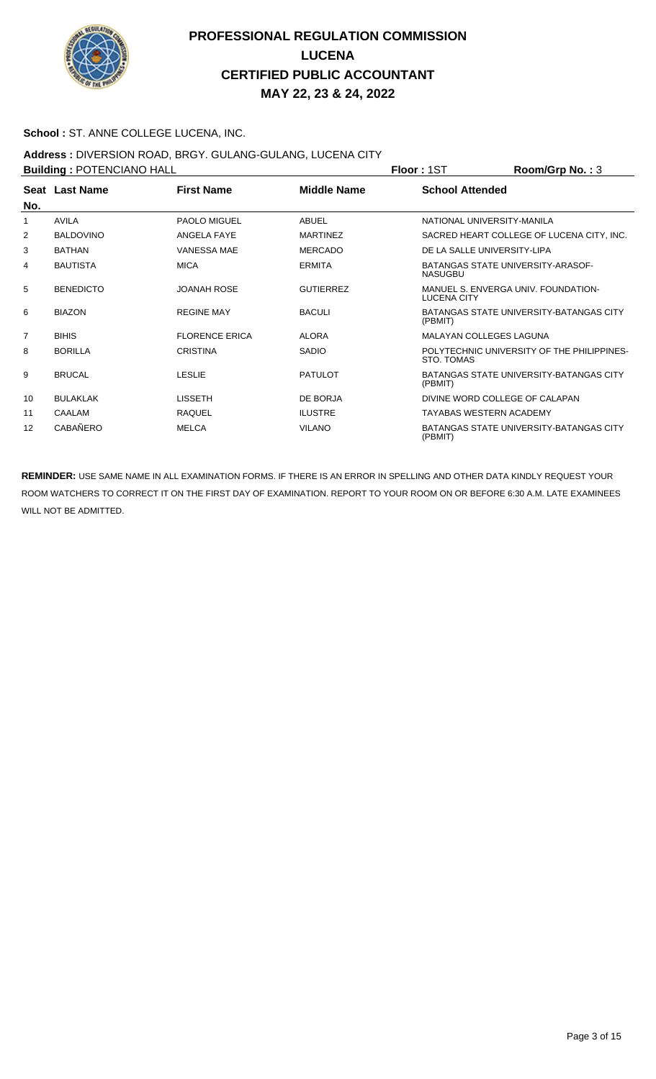

### **School :** ST. ANNE COLLEGE LUCENA, INC.

## **Address :** DIVERSION ROAD, BRGY. GULANG-GULANG, LUCENA CITY

| <b>Building: POTENCIANO HALL</b> |                       |                       |                    | <b>Floor: 1ST</b>                                   | Room/Grp No.: 3                            |
|----------------------------------|-----------------------|-----------------------|--------------------|-----------------------------------------------------|--------------------------------------------|
|                                  | <b>Seat Last Name</b> | <b>First Name</b>     | <b>Middle Name</b> | <b>School Attended</b>                              |                                            |
| No.                              |                       |                       |                    |                                                     |                                            |
| 1                                | <b>AVILA</b>          | <b>PAOLO MIGUEL</b>   | <b>ABUEL</b>       | NATIONAL UNIVERSITY-MANILA                          |                                            |
| 2                                | <b>BALDOVINO</b>      | ANGELA FAYE           | <b>MARTINEZ</b>    |                                                     | SACRED HEART COLLEGE OF LUCENA CITY, INC.  |
| 3                                | <b>BATHAN</b>         | <b>VANESSA MAE</b>    | <b>MERCADO</b>     | DE LA SALLE UNIVERSITY-LIPA                         |                                            |
| 4                                | <b>BAUTISTA</b>       | <b>MICA</b>           | <b>ERMITA</b>      | BATANGAS STATE UNIVERSITY-ARASOF-<br><b>NASUGBU</b> |                                            |
| 5                                | <b>BENEDICTO</b>      | <b>JOANAH ROSE</b>    | <b>GUTIERREZ</b>   | <b>LUCENA CITY</b>                                  | MANUEL S. ENVERGA UNIV. FOUNDATION-        |
| 6                                | <b>BIAZON</b>         | <b>REGINE MAY</b>     | <b>BACULI</b>      | (PBMIT)                                             | BATANGAS STATE UNIVERSITY-BATANGAS CITY    |
| $\overline{7}$                   | <b>BIHIS</b>          | <b>FLORENCE ERICA</b> | <b>ALORA</b>       | <b>MALAYAN COLLEGES LAGUNA</b>                      |                                            |
| 8                                | <b>BORILLA</b>        | <b>CRISTINA</b>       | <b>SADIO</b>       | <b>STO. TOMAS</b>                                   | POLYTECHNIC UNIVERSITY OF THE PHILIPPINES- |
| 9                                | <b>BRUCAL</b>         | <b>LESLIE</b>         | <b>PATULOT</b>     | (PBMIT)                                             | BATANGAS STATE UNIVERSITY-BATANGAS CITY    |
| 10                               | <b>BULAKLAK</b>       | <b>LISSETH</b>        | DE BORJA           | DIVINE WORD COLLEGE OF CALAPAN                      |                                            |
| 11                               | CAALAM                | <b>RAQUEL</b>         | <b>ILUSTRE</b>     | <b>TAYABAS WESTERN ACADEMY</b>                      |                                            |
| $12 \overline{ }$                | CABAÑERO              | <b>MELCA</b>          | <b>VILANO</b>      | (PBMIT)                                             | BATANGAS STATE UNIVERSITY-BATANGAS CITY    |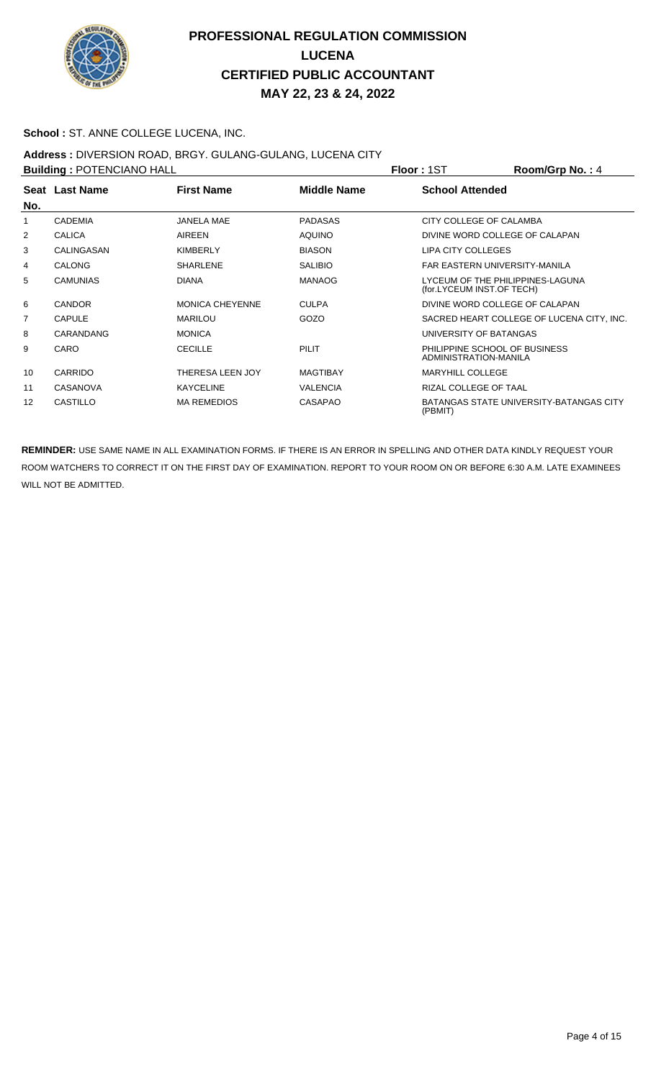

### **School :** ST. ANNE COLLEGE LUCENA, INC.

### **Address :** DIVERSION ROAD, BRGY. GULANG-GULANG, LUCENA CITY

| <b>Building: POTENCIANO HALL</b> |                 |                         |                 | <b>Floor: 1ST</b>                                             | Room/Grp No.: 4                                |
|----------------------------------|-----------------|-------------------------|-----------------|---------------------------------------------------------------|------------------------------------------------|
|                                  | Seat Last Name  | <b>First Name</b>       | Middle Name     | <b>School Attended</b>                                        |                                                |
| No.                              |                 |                         |                 |                                                               |                                                |
|                                  | <b>CADEMIA</b>  | <b>JANELA MAE</b>       | <b>PADASAS</b>  | CITY COLLEGE OF CALAMBA                                       |                                                |
| 2                                | <b>CALICA</b>   | AIREEN                  | <b>AQUINO</b>   | DIVINE WORD COLLEGE OF CALAPAN                                |                                                |
| 3                                | CALINGASAN      | <b>KIMBERLY</b>         | <b>BIASON</b>   | LIPA CITY COLLEGES                                            |                                                |
| 4                                | <b>CALONG</b>   | <b>SHARLENE</b>         | <b>SALIBIO</b>  | FAR EASTERN UNIVERSITY-MANILA                                 |                                                |
| 5                                | <b>CAMUNIAS</b> | <b>DIANA</b>            | <b>MANAOG</b>   | LYCEUM OF THE PHILIPPINES-LAGUNA<br>(for.LYCEUM INST.OF TECH) |                                                |
| 6                                | <b>CANDOR</b>   | <b>MONICA CHEYENNE</b>  | <b>CULPA</b>    | DIVINE WORD COLLEGE OF CALAPAN                                |                                                |
| 7                                | <b>CAPULE</b>   | <b>MARILOU</b>          | GOZO            |                                                               | SACRED HEART COLLEGE OF LUCENA CITY, INC.      |
| 8                                | CARANDANG       | <b>MONICA</b>           |                 | UNIVERSITY OF BATANGAS                                        |                                                |
| 9                                | CARO            | <b>CECILLE</b>          | PILIT           | PHILIPPINE SCHOOL OF BUSINESS<br>ADMINISTRATION-MANILA        |                                                |
| 10                               | CARRIDO         | <b>THERESA LEEN JOY</b> | <b>MAGTIBAY</b> | MARYHILL COLLEGE                                              |                                                |
| 11                               | <b>CASANOVA</b> | <b>KAYCELINE</b>        | <b>VALENCIA</b> | RIZAL COLLEGE OF TAAL                                         |                                                |
| 12                               | <b>CASTILLO</b> | <b>MA REMEDIOS</b>      | <b>CASAPAO</b>  | (PBMIT)                                                       | <b>BATANGAS STATE UNIVERSITY-BATANGAS CITY</b> |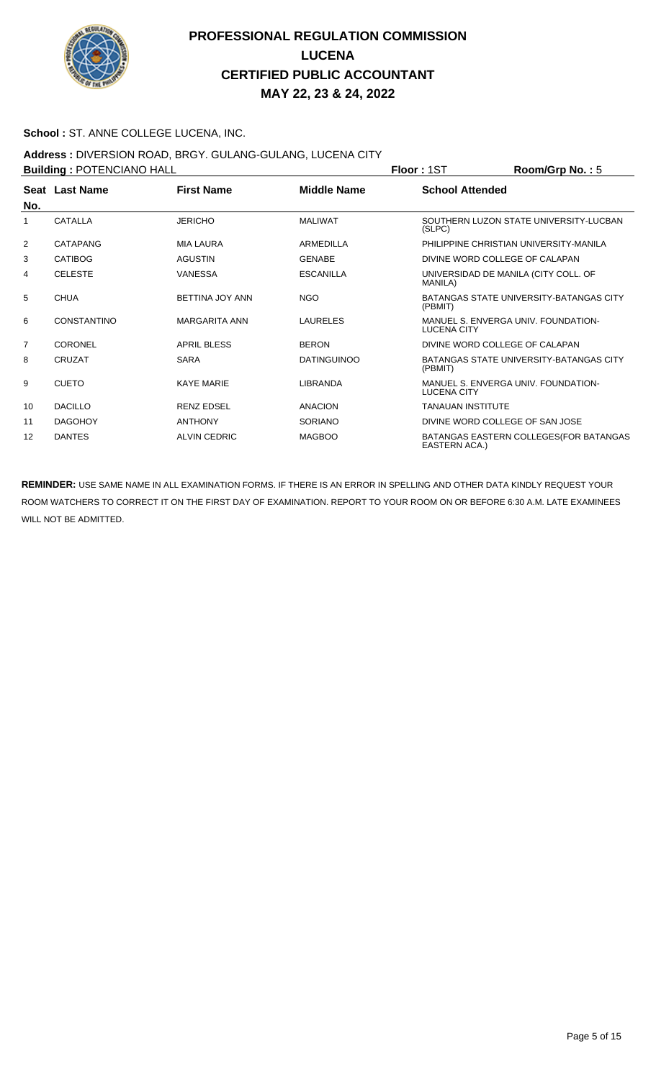

### **School :** ST. ANNE COLLEGE LUCENA, INC.

### **Address :** DIVERSION ROAD, BRGY. GULANG-GULANG, LUCENA CITY

| <b>Building: POTENCIANO HALL</b> |                    |                      |                    | Floor: 1ST                                              | Room/Grp No.: 5                         |
|----------------------------------|--------------------|----------------------|--------------------|---------------------------------------------------------|-----------------------------------------|
| No.                              | Seat Last Name     | <b>First Name</b>    | <b>Middle Name</b> | <b>School Attended</b>                                  |                                         |
|                                  | CATALLA            | <b>JERICHO</b>       | <b>MALIWAT</b>     | (SLPC)                                                  | SOUTHERN LUZON STATE UNIVERSITY-LUCBAN  |
| 2                                | CATAPANG           | <b>MIA LAURA</b>     | ARMEDILLA          |                                                         | PHILIPPINE CHRISTIAN UNIVERSITY-MANILA  |
| 3                                | <b>CATIBOG</b>     | <b>AGUSTIN</b>       | <b>GENABE</b>      | DIVINE WORD COLLEGE OF CALAPAN                          |                                         |
| 4                                | <b>CELESTE</b>     | <b>VANESSA</b>       | <b>ESCANILLA</b>   | UNIVERSIDAD DE MANILA (CITY COLL. OF<br><b>MANILA</b> ) |                                         |
| 5                                | <b>CHUA</b>        | BETTINA JOY ANN      | <b>NGO</b>         | (PBMIT)                                                 | BATANGAS STATE UNIVERSITY-BATANGAS CITY |
| 6                                | <b>CONSTANTINO</b> | <b>MARGARITA ANN</b> | LAURELES           | LUCENA CITY                                             | MANUEL S. ENVERGA UNIV. FOUNDATION-     |
| $\overline{7}$                   | CORONEL            | <b>APRIL BLESS</b>   | <b>BERON</b>       | DIVINE WORD COLLEGE OF CALAPAN                          |                                         |
| 8                                | CRUZAT             | <b>SARA</b>          | <b>DATINGUINOO</b> | (PBMIT)                                                 | BATANGAS STATE UNIVERSITY-BATANGAS CITY |
| 9                                | <b>CUETO</b>       | <b>KAYE MARIE</b>    | LIBRANDA           | <b>LUCENA CITY</b>                                      | MANUEL S. ENVERGA UNIV. FOUNDATION-     |
| 10                               | <b>DACILLO</b>     | <b>RENZ EDSEL</b>    | <b>ANACION</b>     | <b>TANAUAN INSTITUTE</b>                                |                                         |
| 11                               | <b>DAGOHOY</b>     | <b>ANTHONY</b>       | <b>SORIANO</b>     | DIVINE WORD COLLEGE OF SAN JOSE                         |                                         |
| 12                               | <b>DANTES</b>      | <b>ALVIN CEDRIC</b>  | <b>MAGBOO</b>      | EASTERN ACA.)                                           | BATANGAS EASTERN COLLEGES (FOR BATANGAS |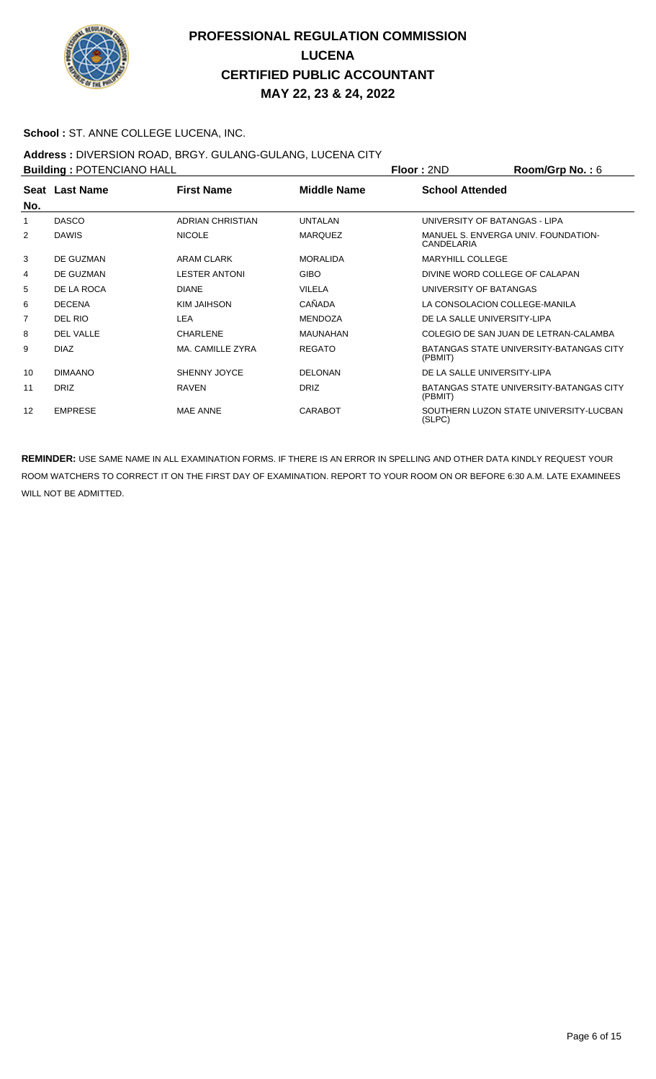

### **School :** ST. ANNE COLLEGE LUCENA, INC.

## **Address :** DIVERSION ROAD, BRGY. GULANG-GULANG, LUCENA CITY

| <b>Building: POTENCIANO HALL</b> |                |                         |                    | <b>Floor: 2ND</b>              | Room/Grp No.: 6                                |
|----------------------------------|----------------|-------------------------|--------------------|--------------------------------|------------------------------------------------|
| No.                              | Seat Last Name | <b>First Name</b>       | <b>Middle Name</b> | <b>School Attended</b>         |                                                |
|                                  | <b>DASCO</b>   | <b>ADRIAN CHRISTIAN</b> | <b>UNTALAN</b>     | UNIVERSITY OF BATANGAS - LIPA  |                                                |
| 2                                | <b>DAWIS</b>   | <b>NICOLE</b>           | <b>MARQUEZ</b>     | CANDELARIA                     | MANUEL S. ENVERGA UNIV. FOUNDATION-            |
| 3                                | DE GUZMAN      | ARAM CLARK              | <b>MORALIDA</b>    | <b>MARYHILL COLLEGE</b>        |                                                |
| 4                                | DE GUZMAN      | <b>LESTER ANTONI</b>    | <b>GIBO</b>        | DIVINE WORD COLLEGE OF CALAPAN |                                                |
| 5                                | DE LA ROCA     | <b>DIANE</b>            | <b>VILELA</b>      | UNIVERSITY OF BATANGAS         |                                                |
| 6                                | <b>DECENA</b>  | KIM JAIHSON             | CAÑADA             | LA CONSOLACION COLLEGE-MANILA  |                                                |
| 7                                | DEL RIO        | LEA                     | <b>MENDOZA</b>     | DE LA SALLE UNIVERSITY-LIPA    |                                                |
| 8                                | DEL VALLE      | <b>CHARLENE</b>         | <b>MAUNAHAN</b>    |                                | COLEGIO DE SAN JUAN DE LETRAN-CALAMBA          |
| 9                                | <b>DIAZ</b>    | MA. CAMILLE ZYRA        | <b>REGATO</b>      | (PBMIT)                        | BATANGAS STATE UNIVERSITY-BATANGAS CITY        |
| 10                               | <b>DIMAANO</b> | <b>SHENNY JOYCE</b>     | <b>DELONAN</b>     | DE LA SALLE UNIVERSITY-LIPA    |                                                |
| 11                               | <b>DRIZ</b>    | <b>RAVEN</b>            | <b>DRIZ</b>        | (PBMIT)                        | <b>BATANGAS STATE UNIVERSITY-BATANGAS CITY</b> |
| 12                               | <b>EMPRESE</b> | <b>MAE ANNE</b>         | <b>CARABOT</b>     | (SLPC)                         | SOUTHERN LUZON STATE UNIVERSITY-LUCBAN         |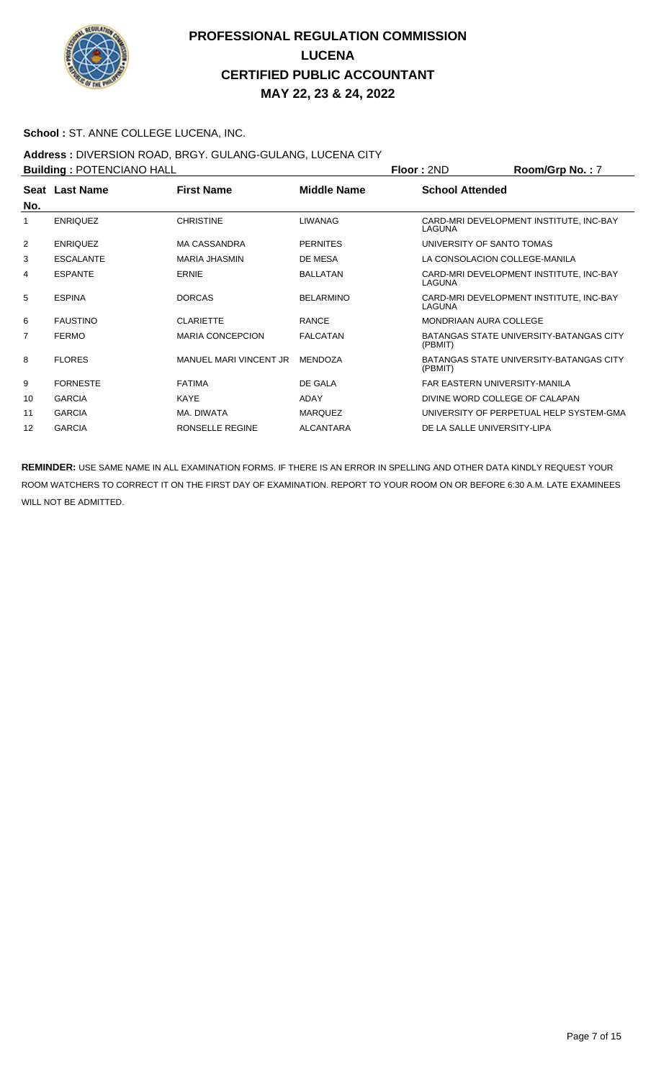

### **School :** ST. ANNE COLLEGE LUCENA, INC.

#### **Address :** DIVERSION ROAD, BRGY. GULANG-GULANG, LUCENA CITY

| <b>Building: POTENCIANO HALL</b> |                  |                         |                    | Floor: 2ND                           | Room/Grp No.: 7                                |
|----------------------------------|------------------|-------------------------|--------------------|--------------------------------------|------------------------------------------------|
| No.                              | Seat Last Name   | <b>First Name</b>       | <b>Middle Name</b> | <b>School Attended</b>               |                                                |
|                                  | <b>ENRIQUEZ</b>  | <b>CHRISTINE</b>        | <b>LIWANAG</b>     | LAGUNA                               | CARD-MRI DEVELOPMENT INSTITUTE, INC-BAY        |
| $\overline{2}$                   | <b>ENRIQUEZ</b>  | <b>MA CASSANDRA</b>     | <b>PERNITES</b>    | UNIVERSITY OF SANTO TOMAS            |                                                |
| 3                                | <b>ESCALANTE</b> | <b>MARIA JHASMIN</b>    | DE MESA            | LA CONSOLACION COLLEGE-MANILA        |                                                |
| 4                                | <b>ESPANTE</b>   | ERNIE                   | <b>BALLATAN</b>    | LAGUNA                               | CARD-MRI DEVELOPMENT INSTITUTE, INC-BAY        |
| 5                                | <b>ESPINA</b>    | <b>DORCAS</b>           | <b>BELARMINO</b>   | LAGUNA                               | CARD-MRI DEVELOPMENT INSTITUTE, INC-BAY        |
| 6                                | <b>FAUSTINO</b>  | <b>CLARIETTE</b>        | <b>RANCE</b>       | MONDRIAAN AURA COLLEGE               |                                                |
| 7                                | <b>FERMO</b>     | <b>MARIA CONCEPCION</b> | <b>FALCATAN</b>    | (PBMIT)                              | <b>BATANGAS STATE UNIVERSITY-BATANGAS CITY</b> |
| 8                                | <b>FLORES</b>    | MANUEL MARI VINCENT JR  | <b>MENDOZA</b>     | (PBMIT)                              | <b>BATANGAS STATE UNIVERSITY-BATANGAS CITY</b> |
| 9                                | <b>FORNESTE</b>  | <b>FATIMA</b>           | DE GALA            | <b>FAR FASTERN UNIVERSITY-MANILA</b> |                                                |
| 10                               | <b>GARCIA</b>    | <b>KAYE</b>             | ADAY               | DIVINE WORD COLLEGE OF CALAPAN       |                                                |
| 11                               | <b>GARCIA</b>    | MA. DIWATA              | <b>MARQUEZ</b>     |                                      | UNIVERSITY OF PERPETUAL HELP SYSTEM-GMA        |
| 12                               | <b>GARCIA</b>    | <b>RONSELLE REGINE</b>  | <b>ALCANTARA</b>   | DE LA SALLE UNIVERSITY-LIPA          |                                                |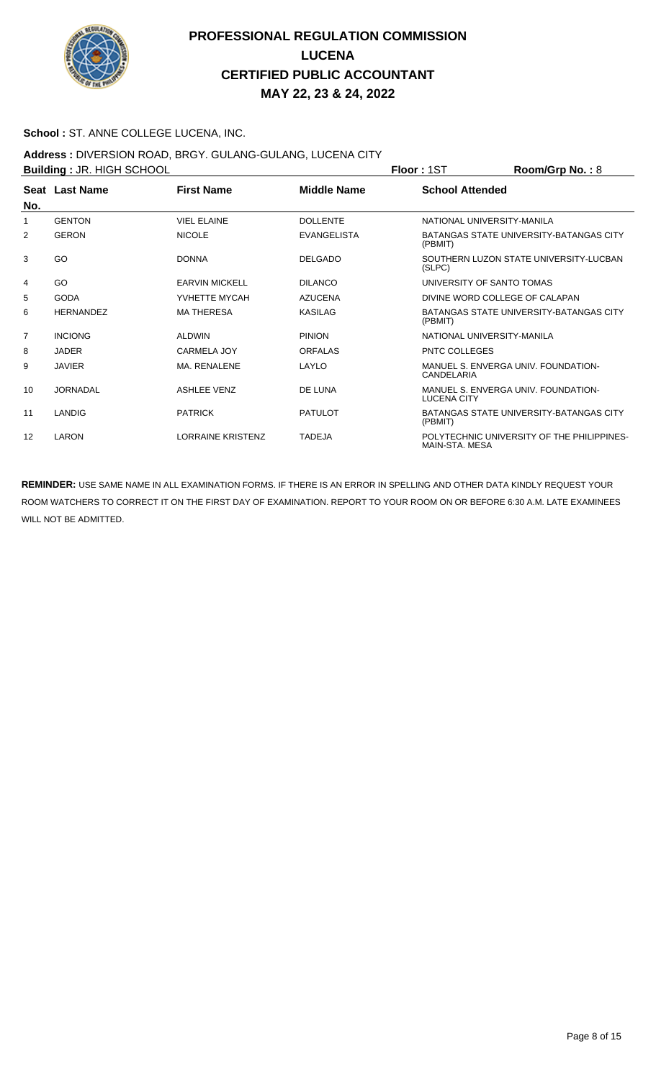

### **School :** ST. ANNE COLLEGE LUCENA, INC.

## **Address :** DIVERSION ROAD, BRGY. GULANG-GULANG, LUCENA CITY

| <b>Building: JR. HIGH SCHOOL</b> |                  |                          |                    | <b>Floor: 1ST</b>          | Room/Grp No.: 8                            |
|----------------------------------|------------------|--------------------------|--------------------|----------------------------|--------------------------------------------|
| No.                              | Seat Last Name   | <b>First Name</b>        | <b>Middle Name</b> | <b>School Attended</b>     |                                            |
| 1                                | <b>GENTON</b>    | <b>VIEL ELAINE</b>       | <b>DOLLENTE</b>    | NATIONAL UNIVERSITY-MANILA |                                            |
| 2                                | <b>GERON</b>     | <b>NICOLE</b>            | <b>EVANGELISTA</b> | (PBMIT)                    | BATANGAS STATE UNIVERSITY-BATANGAS CITY    |
| 3                                | GO               | <b>DONNA</b>             | <b>DELGADO</b>     | (SLPC)                     | SOUTHERN LUZON STATE UNIVERSITY-LUCBAN     |
| 4                                | GO               | <b>EARVIN MICKELL</b>    | <b>DILANCO</b>     | UNIVERSITY OF SANTO TOMAS  |                                            |
| 5                                | GODA             | YVHETTE MYCAH            | <b>AZUCENA</b>     |                            | DIVINE WORD COLLEGE OF CALAPAN             |
| 6                                | <b>HERNANDEZ</b> | <b>MA THERESA</b>        | <b>KASILAG</b>     | (PBMIT)                    | BATANGAS STATE UNIVERSITY-BATANGAS CITY    |
| $\overline{7}$                   | <b>INCIONG</b>   | <b>ALDWIN</b>            | <b>PINION</b>      | NATIONAL UNIVERSITY-MANILA |                                            |
| 8                                | <b>JADER</b>     | CARMELA JOY              | <b>ORFALAS</b>     | <b>PNTC COLLEGES</b>       |                                            |
| 9                                | <b>JAVIER</b>    | MA. RENALENE             | LAYLO              | CANDELARIA                 | MANUEL S. ENVERGA UNIV. FOUNDATION-        |
| 10                               | <b>JORNADAL</b>  | <b>ASHLEE VENZ</b>       | DE LUNA            | <b>LUCENA CITY</b>         | MANUEL S. ENVERGA UNIV. FOUNDATION-        |
| 11                               | LANDIG           | <b>PATRICK</b>           | <b>PATULOT</b>     | (PBMIT)                    | BATANGAS STATE UNIVERSITY-BATANGAS CITY    |
| 12                               | LARON            | <b>LORRAINE KRISTENZ</b> | <b>TADEJA</b>      | MAIN-STA, MESA             | POLYTECHNIC UNIVERSITY OF THE PHILIPPINES- |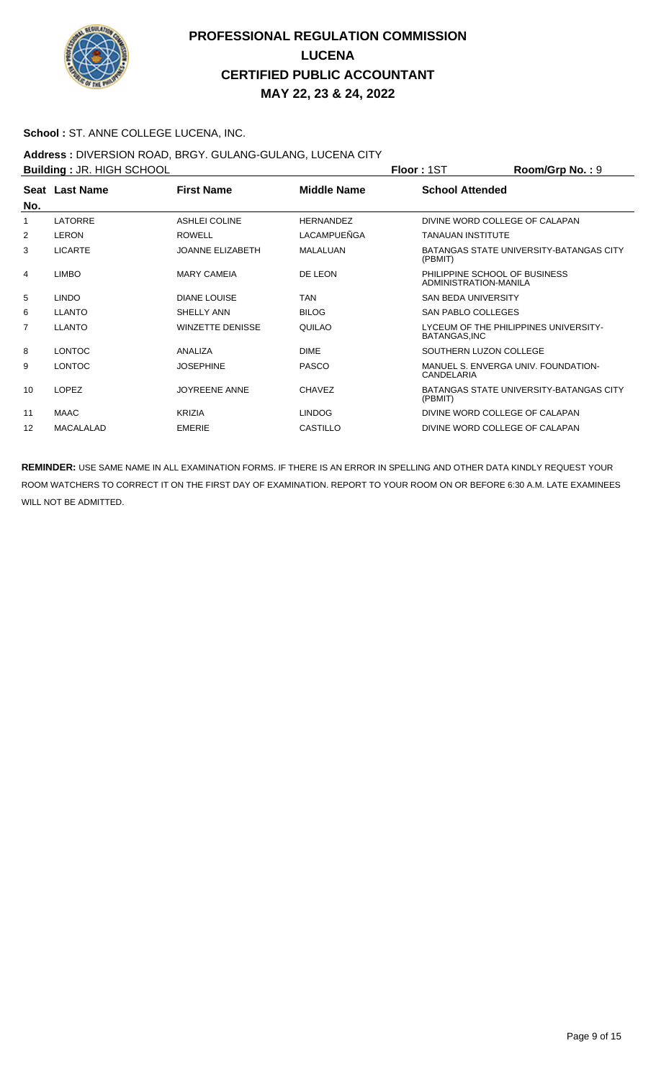

### **School :** ST. ANNE COLLEGE LUCENA, INC.

#### **Address :** DIVERSION ROAD, BRGY. GULANG-GULANG, LUCENA CITY

| <b>Building: JR. HIGH SCHOOL</b> |                  |                         |                    | <b>Floor: 1ST</b>                                      | Room/Grp No.: 9                                |
|----------------------------------|------------------|-------------------------|--------------------|--------------------------------------------------------|------------------------------------------------|
|                                  | Seat Last Name   | <b>First Name</b>       | <b>Middle Name</b> | <b>School Attended</b>                                 |                                                |
| No.                              |                  |                         |                    |                                                        |                                                |
| 1                                | <b>LATORRE</b>   | <b>ASHLEI COLINE</b>    | <b>HERNANDEZ</b>   | DIVINE WORD COLLEGE OF CALAPAN                         |                                                |
| 2                                | <b>LERON</b>     | <b>ROWELL</b>           | LACAMPUEÑGA        | <b>TANAUAN INSTITUTE</b>                               |                                                |
| 3                                | <b>LICARTE</b>   | <b>JOANNE ELIZABETH</b> | <b>MALALUAN</b>    | (PBMIT)                                                | BATANGAS STATE UNIVERSITY-BATANGAS CITY        |
| 4                                | <b>LIMBO</b>     | <b>MARY CAMEIA</b>      | DE LEON            | PHILIPPINE SCHOOL OF BUSINESS<br>ADMINISTRATION-MANILA |                                                |
| 5                                | <b>LINDO</b>     | DIANE LOUISE            | <b>TAN</b>         | <b>SAN BEDA UNIVERSITY</b>                             |                                                |
| 6                                | <b>LLANTO</b>    | SHELLY ANN              | <b>BILOG</b>       | <b>SAN PABLO COLLEGES</b>                              |                                                |
| 7                                | <b>LLANTO</b>    | <b>WINZETTE DENISSE</b> | QUILAO             | BATANGAS, INC                                          | LYCEUM OF THE PHILIPPINES UNIVERSITY-          |
| 8                                | <b>LONTOC</b>    | ANALIZA                 | <b>DIME</b>        | SOUTHERN LUZON COLLEGE                                 |                                                |
| 9                                | <b>LONTOC</b>    | <b>JOSEPHINE</b>        | <b>PASCO</b>       | CANDELARIA                                             | MANUEL S. ENVERGA UNIV. FOUNDATION-            |
| 10                               | <b>LOPEZ</b>     | <b>JOYREENE ANNE</b>    | <b>CHAVEZ</b>      | (PBMIT)                                                | <b>BATANGAS STATE UNIVERSITY-BATANGAS CITY</b> |
| 11                               | <b>MAAC</b>      | <b>KRIZIA</b>           | <b>LINDOG</b>      | DIVINE WORD COLLEGE OF CALAPAN                         |                                                |
| 12                               | <b>MACALALAD</b> | <b>EMERIE</b>           | <b>CASTILLO</b>    | DIVINE WORD COLLEGE OF CALAPAN                         |                                                |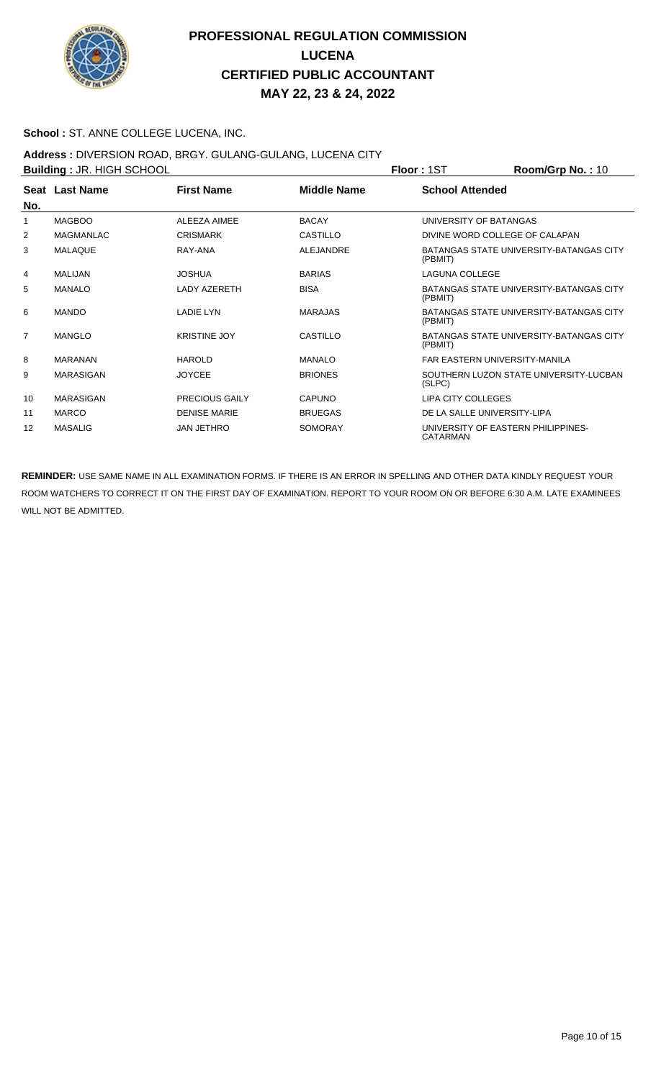

### **School :** ST. ANNE COLLEGE LUCENA, INC.

### **Address :** DIVERSION ROAD, BRGY. GULANG-GULANG, LUCENA CITY

| <b>Building: JR. HIGH SCHOOL</b> |                  |                       |                    | <b>Floor: 1ST</b>                              | Room/Grp No.: 10                        |
|----------------------------------|------------------|-----------------------|--------------------|------------------------------------------------|-----------------------------------------|
| No.                              | Seat Last Name   | <b>First Name</b>     | <b>Middle Name</b> | <b>School Attended</b>                         |                                         |
|                                  | <b>MAGBOO</b>    | ALEEZA AIMEE          | <b>BACAY</b>       | UNIVERSITY OF BATANGAS                         |                                         |
| 2                                | <b>MAGMANLAC</b> | <b>CRISMARK</b>       | CASTILLO           | DIVINE WORD COLLEGE OF CALAPAN                 |                                         |
| 3                                | <b>MALAQUE</b>   | RAY-ANA               | <b>ALEJANDRE</b>   | (PBMIT)                                        | BATANGAS STATE UNIVERSITY-BATANGAS CITY |
| 4                                | <b>MALIJAN</b>   | <b>JOSHUA</b>         | <b>BARIAS</b>      | <b>LAGUNA COLLEGE</b>                          |                                         |
| 5                                | <b>MANALO</b>    | <b>LADY AZERETH</b>   | <b>BISA</b>        | (PBMIT)                                        | BATANGAS STATE UNIVERSITY-BATANGAS CITY |
| 6                                | <b>MANDO</b>     | <b>LADIE LYN</b>      | <b>MARAJAS</b>     | (PBMIT)                                        | BATANGAS STATE UNIVERSITY-BATANGAS CITY |
| $\overline{7}$                   | <b>MANGLO</b>    | <b>KRISTINE JOY</b>   | CASTILLO           | (PBMIT)                                        | BATANGAS STATE UNIVERSITY-BATANGAS CITY |
| 8                                | <b>MARANAN</b>   | <b>HAROLD</b>         | <b>MANALO</b>      | <b>FAR EASTERN UNIVERSITY-MANILA</b>           |                                         |
| 9                                | <b>MARASIGAN</b> | <b>JOYCEE</b>         | <b>BRIONES</b>     | (SLPC)                                         | SOUTHERN LUZON STATE UNIVERSITY-LUCBAN  |
| 10                               | <b>MARASIGAN</b> | <b>PRECIOUS GAILY</b> | CAPUNO             | <b>LIPA CITY COLLEGES</b>                      |                                         |
| 11                               | <b>MARCO</b>     | <b>DENISE MARIE</b>   | <b>BRUEGAS</b>     | DE LA SALLE UNIVERSITY-LIPA                    |                                         |
| 12                               | <b>MASALIG</b>   | <b>JAN JETHRO</b>     | <b>SOMORAY</b>     | UNIVERSITY OF EASTERN PHILIPPINES-<br>CATARMAN |                                         |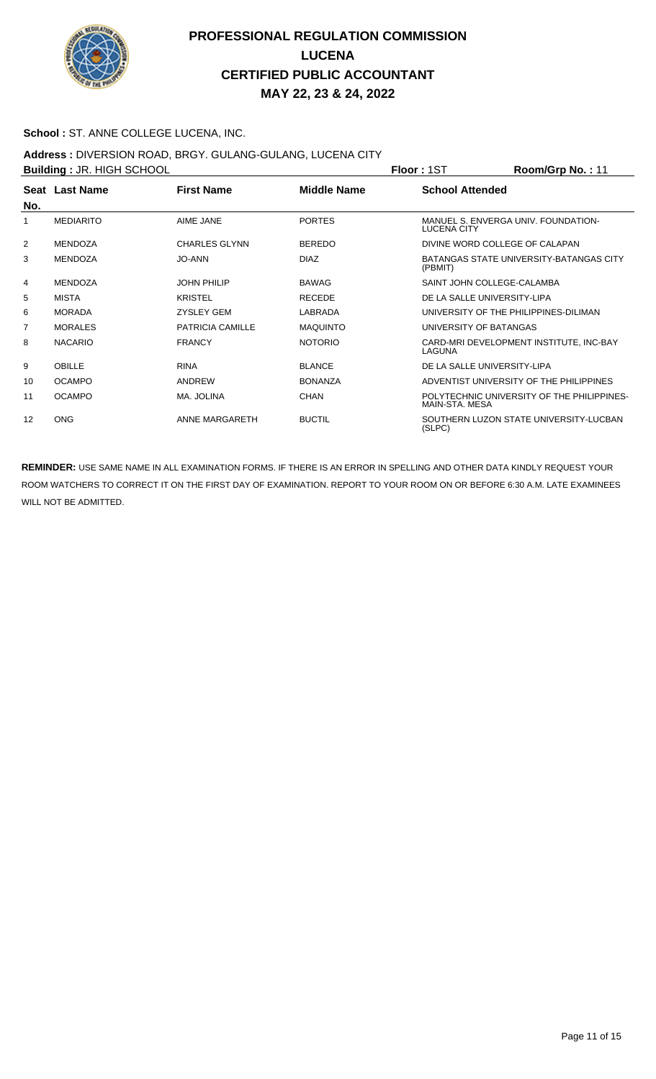

### **School :** ST. ANNE COLLEGE LUCENA, INC.

## **Address :** DIVERSION ROAD, BRGY. GULANG-GULANG, LUCENA CITY

| <b>Building: JR. HIGH SCHOOL</b> |                  |                         |                    | <b>Floor: 1ST</b>              | Room/Grp No.: 11                           |
|----------------------------------|------------------|-------------------------|--------------------|--------------------------------|--------------------------------------------|
| No.                              | Seat Last Name   | <b>First Name</b>       | <b>Middle Name</b> | <b>School Attended</b>         |                                            |
|                                  | <b>MEDIARITO</b> | AIME JANE               | <b>PORTES</b>      | LUCENA CITY                    | MANUEL S. ENVERGA UNIV. FOUNDATION-        |
| 2                                | <b>MENDOZA</b>   | <b>CHARLES GLYNN</b>    | <b>BEREDO</b>      | DIVINE WORD COLLEGE OF CALAPAN |                                            |
| 3                                | <b>MENDOZA</b>   | <b>JO-ANN</b>           | <b>DIAZ</b>        | (PBMIT)                        | BATANGAS STATE UNIVERSITY-BATANGAS CITY    |
| 4                                | <b>MENDOZA</b>   | <b>JOHN PHILIP</b>      | <b>BAWAG</b>       | SAINT JOHN COLLEGE-CALAMBA     |                                            |
| 5                                | MISTA            | <b>KRISTEL</b>          | <b>RECEDE</b>      | DE LA SALLE UNIVERSITY-LIPA    |                                            |
| 6                                | <b>MORADA</b>    | <b>ZYSLEY GEM</b>       | LABRADA            |                                | UNIVERSITY OF THE PHILIPPINES-DILIMAN      |
| 7                                | <b>MORALES</b>   | <b>PATRICIA CAMILLE</b> | <b>MAQUINTO</b>    | UNIVERSITY OF BATANGAS         |                                            |
| 8                                | <b>NACARIO</b>   | <b>FRANCY</b>           | <b>NOTORIO</b>     | LAGUNA                         | CARD-MRI DEVELOPMENT INSTITUTE, INC-BAY    |
| 9                                | OBILLE           | <b>RINA</b>             | <b>BLANCE</b>      | DE LA SALLE UNIVERSITY-LIPA    |                                            |
| 10                               | <b>OCAMPO</b>    | ANDREW                  | <b>BONANZA</b>     |                                | ADVENTIST UNIVERSITY OF THE PHILIPPINES    |
| 11                               | <b>OCAMPO</b>    | MA. JOLINA              | <b>CHAN</b>        | MAIN-STA, MESA                 | POLYTECHNIC UNIVERSITY OF THE PHILIPPINES- |
| 12                               | <b>ONG</b>       | ANNE MARGARETH          | <b>BUCTIL</b>      | (SLPC)                         | SOUTHERN LUZON STATE UNIVERSITY-LUCBAN     |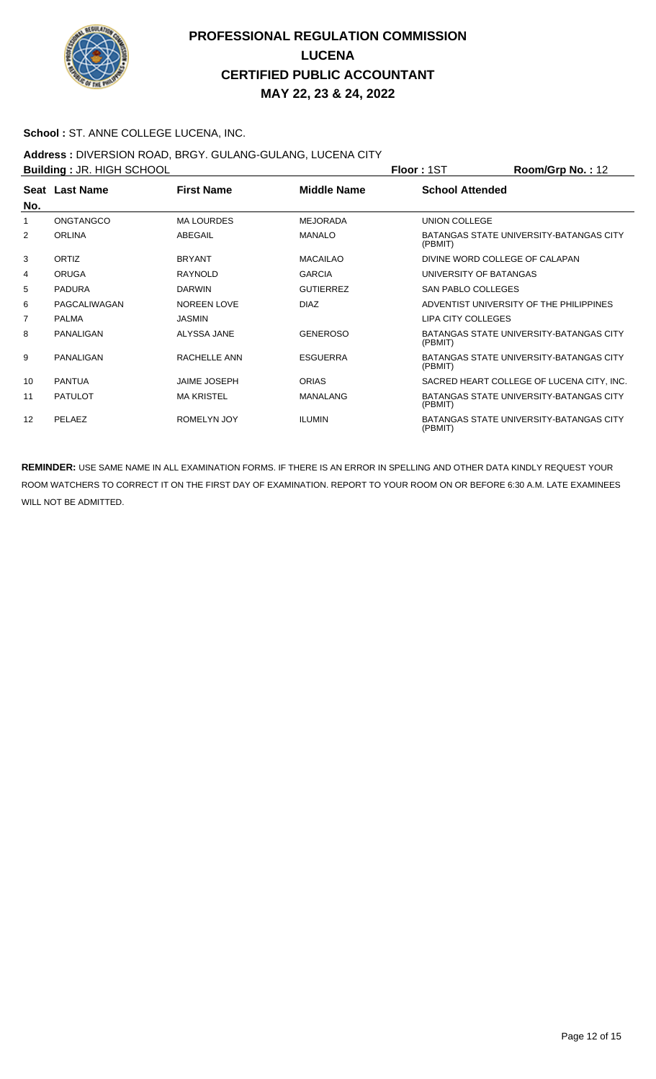

### **School :** ST. ANNE COLLEGE LUCENA, INC.

### **Address :** DIVERSION ROAD, BRGY. GULANG-GULANG, LUCENA CITY

|                | <b>Building: JR. HIGH SCHOOL</b> |                     |                    | Floor: 1ST                     | $Room/Grp$ No.: 12                        |
|----------------|----------------------------------|---------------------|--------------------|--------------------------------|-------------------------------------------|
| No.            | Seat Last Name                   | <b>First Name</b>   | <b>Middle Name</b> | <b>School Attended</b>         |                                           |
|                | ONGTANGCO                        | <b>MA LOURDES</b>   | <b>MEJORADA</b>    | <b>UNION COLLEGE</b>           |                                           |
| 2              | <b>ORLINA</b>                    | ABEGAIL             | <b>MANALO</b>      | (PBMIT)                        | BATANGAS STATE UNIVERSITY-BATANGAS CITY   |
| 3              | ORTIZ                            | <b>BRYANT</b>       | <b>MACAILAO</b>    | DIVINE WORD COLLEGE OF CALAPAN |                                           |
| 4              | <b>ORUGA</b>                     | <b>RAYNOLD</b>      | <b>GARCIA</b>      | UNIVERSITY OF BATANGAS         |                                           |
| 5              | <b>PADURA</b>                    | <b>DARWIN</b>       | <b>GUTIERREZ</b>   | <b>SAN PABLO COLLEGES</b>      |                                           |
| 6              | PAGCALIWAGAN                     | <b>NOREEN LOVE</b>  | DIA <sub>7</sub>   |                                | ADVENTIST UNIVERSITY OF THE PHILIPPINES   |
| $\overline{7}$ | <b>PALMA</b>                     | <b>JASMIN</b>       |                    | <b>LIPA CITY COLLEGES</b>      |                                           |
| 8              | PANALIGAN                        | ALYSSA JANE         | <b>GENEROSO</b>    | (PBMIT)                        | BATANGAS STATE UNIVERSITY-BATANGAS CITY   |
| 9              | PANALIGAN                        | RACHELLE ANN        | <b>ESGUERRA</b>    | (PBMIT)                        | BATANGAS STATE UNIVERSITY-BATANGAS CITY   |
| 10             | <b>PANTUA</b>                    | <b>JAIME JOSEPH</b> | <b>ORIAS</b>       |                                | SACRED HEART COLLEGE OF LUCENA CITY, INC. |
| 11             | <b>PATULOT</b>                   | <b>MA KRISTEL</b>   | MANALANG           | (PBMIT)                        | BATANGAS STATE UNIVERSITY-BATANGAS CITY   |
| 12             | PELAEZ                           | <b>ROMELYN JOY</b>  | <b>ILUMIN</b>      | (PBMIT)                        | BATANGAS STATE UNIVERSITY-BATANGAS CITY   |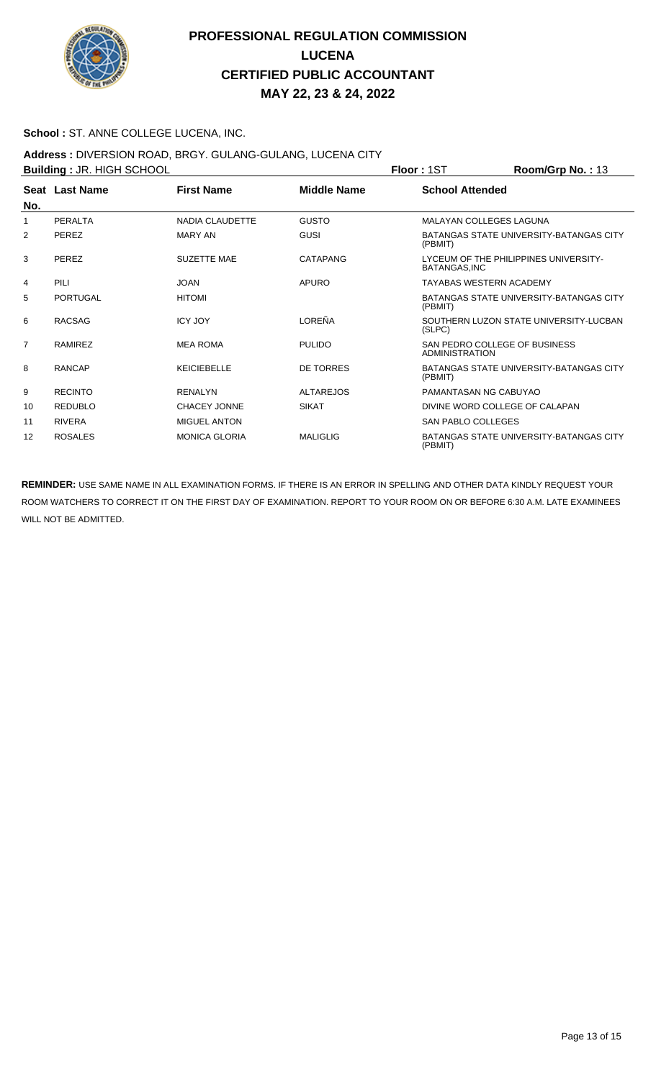

### **School :** ST. ANNE COLLEGE LUCENA, INC.

### **Address :** DIVERSION ROAD, BRGY. GULANG-GULANG, LUCENA CITY

| <b>Building: JR. HIGH SCHOOL</b> |                 |                        |                    | <b>Floor: 1ST</b>                               | Room/Grp No.: 13                        |
|----------------------------------|-----------------|------------------------|--------------------|-------------------------------------------------|-----------------------------------------|
| No.                              | Seat Last Name  | <b>First Name</b>      | <b>Middle Name</b> | <b>School Attended</b>                          |                                         |
|                                  | PERALTA         | <b>NADIA CLAUDETTE</b> | <b>GUSTO</b>       | <b>MALAYAN COLLEGES LAGUNA</b>                  |                                         |
| 2                                | PEREZ           | <b>MARY AN</b>         | GUSI               | (PBMIT)                                         | BATANGAS STATE UNIVERSITY-BATANGAS CITY |
| 3                                | PEREZ           | <b>SUZETTE MAE</b>     | CATAPANG           | BATANGAS.INC                                    | LYCEUM OF THE PHILIPPINES UNIVERSITY-   |
| 4                                | PILI            | <b>JOAN</b>            | <b>APURO</b>       | <b>TAYABAS WESTERN ACADEMY</b>                  |                                         |
| 5                                | <b>PORTUGAL</b> | <b>HITOMI</b>          |                    | (PBMIT)                                         | BATANGAS STATE UNIVERSITY-BATANGAS CITY |
| 6                                | <b>RACSAG</b>   | <b>ICY JOY</b>         | LOREÑA             | (SLPC)                                          | SOUTHERN LUZON STATE UNIVERSITY-LUCBAN  |
| 7                                | <b>RAMIREZ</b>  | <b>MEA ROMA</b>        | <b>PULIDO</b>      | SAN PEDRO COLLEGE OF BUSINESS<br>ADMINISTRATION |                                         |
| 8                                | <b>RANCAP</b>   | <b>KEICIEBELLE</b>     | <b>DE TORRES</b>   | (PBMIT)                                         | BATANGAS STATE UNIVERSITY-BATANGAS CITY |
| 9                                | <b>RECINTO</b>  | <b>RENALYN</b>         | <b>ALTAREJOS</b>   | PAMANTASAN NG CABUYAO                           |                                         |
| 10                               | <b>REDUBLO</b>  | <b>CHACEY JONNE</b>    | <b>SIKAT</b>       | DIVINE WORD COLLEGE OF CALAPAN                  |                                         |
| 11                               | <b>RIVERA</b>   | <b>MIGUEL ANTON</b>    |                    | SAN PABLO COLLEGES                              |                                         |
| 12                               | <b>ROSALES</b>  | <b>MONICA GLORIA</b>   | <b>MALIGLIG</b>    | (PBMIT)                                         | BATANGAS STATE UNIVERSITY-BATANGAS CITY |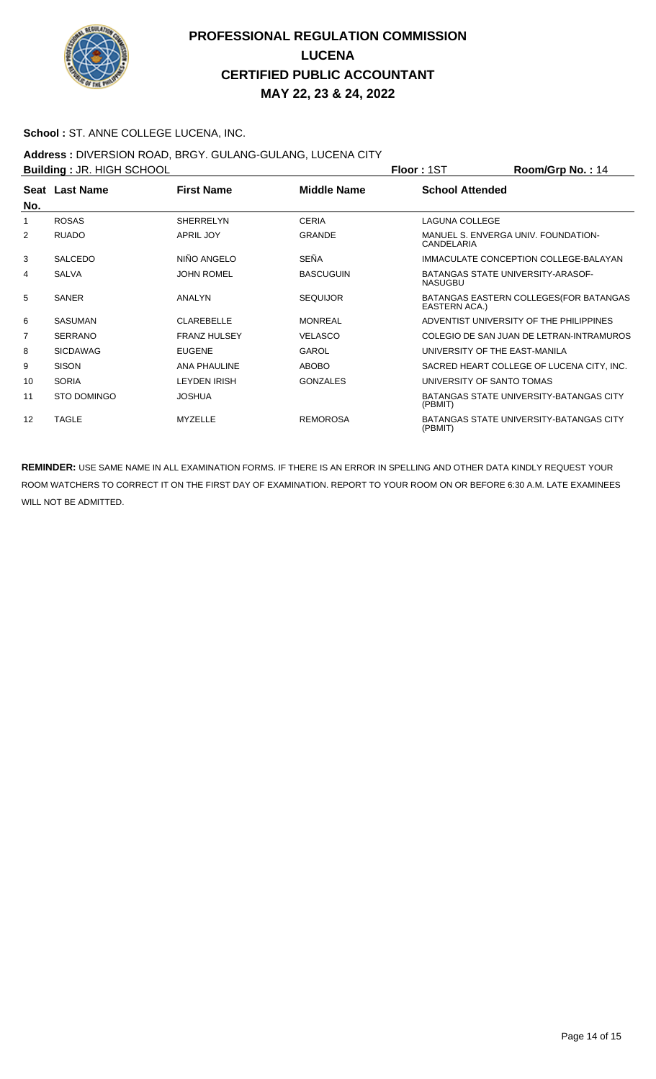

### **School :** ST. ANNE COLLEGE LUCENA, INC.

### **Address :** DIVERSION ROAD, BRGY. GULANG-GULANG, LUCENA CITY

|     | <b>Building: JR. HIGH SCHOOL</b> |                     |                    | <b>Floor: 1ST</b>             | Room/Grp No.: 14                               |
|-----|----------------------------------|---------------------|--------------------|-------------------------------|------------------------------------------------|
| No. | Seat Last Name                   | <b>First Name</b>   | <b>Middle Name</b> | <b>School Attended</b>        |                                                |
|     | <b>ROSAS</b>                     | <b>SHERRELYN</b>    | <b>CERIA</b>       | <b>LAGUNA COLLEGE</b>         |                                                |
| 2   | <b>RUADO</b>                     | <b>APRIL JOY</b>    | <b>GRANDE</b>      | CANDELARIA                    | MANUEL S. ENVERGA UNIV. FOUNDATION-            |
| 3   | <b>SALCEDO</b>                   | NIÑO ANGELO         | SEÑA               |                               | IMMACULATE CONCEPTION COLLEGE-BALAYAN          |
| 4   | <b>SALVA</b>                     | <b>JOHN ROMEL</b>   | <b>BASCUGUIN</b>   | <b>NASUGBU</b>                | BATANGAS STATE UNIVERSITY ARASOF-              |
| 5   | <b>SANER</b>                     | <b>ANALYN</b>       | <b>SEQUIJOR</b>    | EASTERN ACA.)                 | BATANGAS EASTERN COLLEGES (FOR BATANGAS        |
| 6   | <b>SASUMAN</b>                   | CI ARFBFI I F       | <b>MONRFAL</b>     |                               | ADVENTIST UNIVERSITY OF THE PHILIPPINES        |
| 7   | <b>SERRANO</b>                   | <b>FRANZ HULSEY</b> | <b>VELASCO</b>     |                               | COLEGIO DE SAN JUAN DE LETRAN-INTRAMUROS       |
| 8   | <b>SICDAWAG</b>                  | <b>EUGENE</b>       | GAROL              | UNIVERSITY OF THE EAST-MANILA |                                                |
| 9   | <b>SISON</b>                     | <b>ANA PHAULINE</b> | <b>ABOBO</b>       |                               | SACRED HEART COLLEGE OF LUCENA CITY, INC.      |
| 10  | <b>SORIA</b>                     | <b>LEYDEN IRISH</b> | <b>GONZALES</b>    | UNIVERSITY OF SANTO TOMAS     |                                                |
| 11  | <b>STO DOMINGO</b>               | <b>JOSHUA</b>       |                    | (PBMIT)                       | <b>BATANGAS STATE UNIVERSITY-BATANGAS CITY</b> |
| 12  | <b>TAGLE</b>                     | <b>MYZELLE</b>      | <b>REMOROSA</b>    | (PBMIT)                       | <b>BATANGAS STATE UNIVERSITY-BATANGAS CITY</b> |